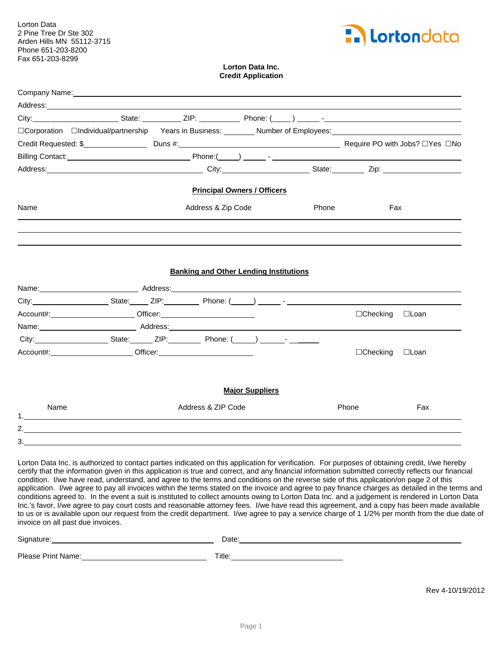Lorton Data 2 Pine Tree Dr Ste 302 Arden Hills MN 55112-3715 Phone 651-203-8200 Fax 651-203-8299



## **Lorton Data Inc. Credit Application**

|      | Company Name: Name and Second Company Name and Second Company Name and Second Company Name and Second Company of the Second Company of the Second Company of the Second Company of the Second Company of the Second Company of |                                    |       |                 |     |
|------|--------------------------------------------------------------------------------------------------------------------------------------------------------------------------------------------------------------------------------|------------------------------------|-------|-----------------|-----|
|      |                                                                                                                                                                                                                                |                                    |       |                 |     |
|      | City: City: City: City: City: City: City: City: City: City: City: City: City: City: City: City: City: City: City: City: City: City: City: City: City: City: City: City: City: City: City: City: City: City: City: City: City:  |                                    |       |                 |     |
|      | □Corporation □Individual/partnership Years in Business: _______ Number of Employees: __________________________                                                                                                                |                                    |       |                 |     |
|      |                                                                                                                                                                                                                                |                                    |       |                 |     |
|      |                                                                                                                                                                                                                                |                                    |       |                 |     |
|      |                                                                                                                                                                                                                                |                                    |       |                 |     |
|      |                                                                                                                                                                                                                                | <b>Principal Owners / Officers</b> |       |                 |     |
| Name | Address & Zip Code                                                                                                                                                                                                             |                                    | Phone | Fax             |     |
|      |                                                                                                                                                                                                                                |                                    |       |                 |     |
|      |                                                                                                                                                                                                                                |                                    |       |                 |     |
|      |                                                                                                                                                                                                                                |                                    |       |                 |     |
|      | <b>Banking and Other Lending Institutions</b>                                                                                                                                                                                  |                                    |       |                 |     |
|      | Name: Note and Address: Name: Name: Name: Name: Name: Name: Name: Name: Name: Name: Name: Name: Name: Name: Name: Name: Name: Name: Name: Name: Name: Name: Name: Name: Name: Name: Name: Name: Name: Name: Name: Name: Name:  |                                    |       |                 |     |
|      |                                                                                                                                                                                                                                |                                    |       |                 |     |
|      | Account#: _____________________________Officer: ________________________________                                                                                                                                               |                                    |       | □Checking □Loan |     |
|      | Name: Address: Address: Address: Address: Address: Address: Address: Address: Address: Address: Address: Address: Address: Address: Address: Address: Address: Address: Address: Address: Address: Address: Address: Address:  |                                    |       |                 |     |
|      |                                                                                                                                                                                                                                |                                    |       |                 |     |
|      | Account#:______________________________Officer:_________________________________                                                                                                                                               |                                    |       | □Checking □Loan |     |
|      |                                                                                                                                                                                                                                |                                    |       |                 |     |
|      |                                                                                                                                                                                                                                | <b>Major Suppliers</b>             |       |                 |     |
|      |                                                                                                                                                                                                                                |                                    |       |                 |     |
| Name | Address & ZIP Code                                                                                                                                                                                                             |                                    |       | Phone           | Fax |
| 2.   |                                                                                                                                                                                                                                |                                    |       |                 |     |
| 3.   |                                                                                                                                                                                                                                |                                    |       |                 |     |

Lorton Data Inc. is authorized to contact parties indicated on this application for verification. For purposes of obtaining credit, I/we hereby certify that the information given in this application is true and correct, and any financial information submitted correctly reflects our financial condition. I/we have read, understand, and agree to the terms and conditions on the reverse side of this application/on page 2 of this application. I/we agree to pay all invoices within the terms stated on the invoice and agree to pay finance charges as detailed in the terms and conditions agreed to. In the event a suit is instituted to collect amounts owing to Lorton Data Inc. and a judgement is rendered in Lorton Data Inc.'s favor, I/we agree to pay court costs and reasonable attorney fees. I/we have read this agreement, and a copy has been made available to us or is available upon our request from the credit department. I/we agree to pay a service charge of 1 1/2% per month from the due date of invoice on all past due invoices.

| Signature:         | Date:  |
|--------------------|--------|
| Please Print Name: | Title: |